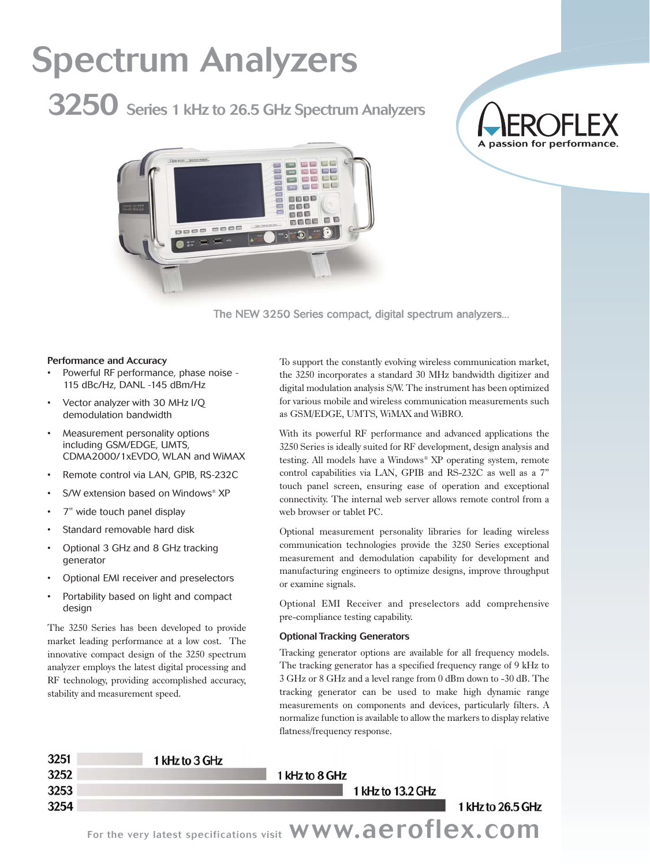# Spectrum Analyzers

3250 Series 1 kHz to 26.5 GHz Spectrum Analyzers

# A passion for performance



The NEW 3250 Series compact, digital spectrum analyzers...

### Performance and Accuracy

- Powerful RF performance, phase noise 115 dBc/Hz, DANL -145 dBm/Hz
- Vector analyzer with 30 MHz I/Q demodulation bandwidth
- Measurement personality options including GSM/EDGE, UMTS, CDMA2000/1xEVDO, WLAN and WiMAX
- Remote control via LAN, GPIB, RS-232C
- S/W extension based on Windows® XP
- 7" wide touch panel display
- Standard removable hard disk
- Optional 3 GHz and 8 GHz tracking generator
- Optional EMI receiver and preselectors
- Portability based on light and compact design

The 3250 Series has been developed to provide market leading performance at a low cost. The innovative compact design of the 3250 spectrum analyzer employs the latest digital processing and RF technology, providing accomplished accuracy, stability and measurement speed.

To support the constantly evolving wireless communication market, the 3250 incorporates a standard 30 MHz bandwidth digitizer and digital modulation analysis S/W. The instrument has been optimized for various mobile and wireless communication measurements such as GSM/EDGE, UMTS, WiMAX and WiBRO.

With its powerful RF performance and advanced applications the 3250 Series is ideally suited for RF development, design analysis and testing. All models have a Windows® XP operating system, remote control capabilities via LAN, GPIB and RS-232C as well as a 7" touch panel screen, ensuring ease of operation and exceptional connectivity. The internal web server allows remote control from a web browser or tablet PC.

Optional measurement personality libraries for leading wireless communication technologies provide the 3250 Series exceptional measurement and demodulation capability for development and manufacturing engineers to optimize designs, improve throughput or examine signals.

Optional EMI Receiver and preselectors add comprehensive pre-compliance testing capability.

### Optional Tracking Generators

Tracking generator options are available for all frequency models. The tracking generator has a specified frequency range of 9 kHz to 3 GHz or 8 GHz and a level range from 0 dBm down to -30 dB. The tracking generator can be used to make high dynamic range measurements on components and devices, particularly filters. A normalize function is available to allow the markers to display relative flatness/frequency response.

| וכגנ<br>3252 | 1 KHZ tO 3 GHZ | 1 kHz to 8 GHz |                   |                   |
|--------------|----------------|----------------|-------------------|-------------------|
| 3253         |                |                | 1 kHz to 13.2 GHz |                   |
| 3254         |                |                |                   | 1 kHz to 26.5 GHz |
|              |                |                |                   |                   |

For the very latest specifications visit WWW.aeroflex.com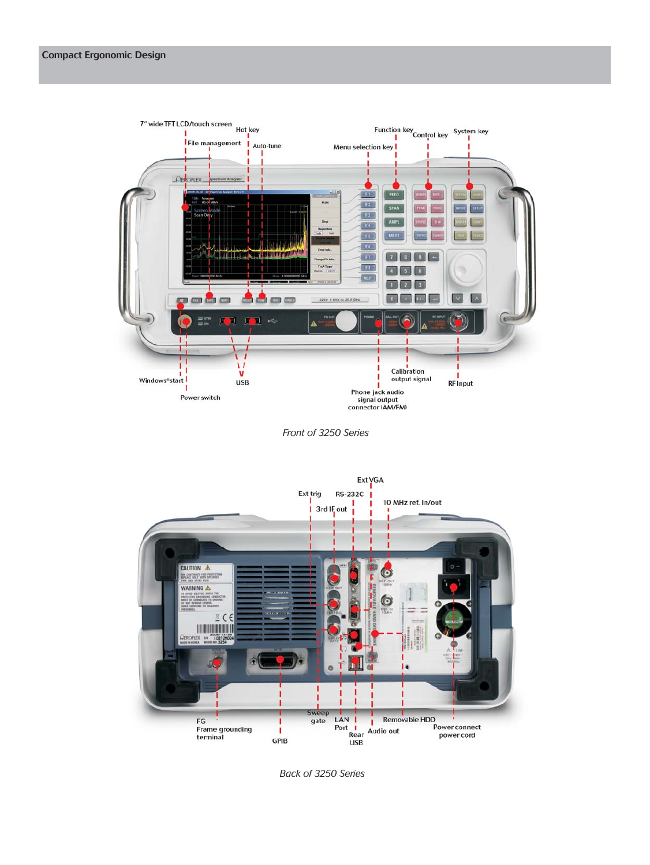

*Front of 3250 Series*



*Back of 3250 Series*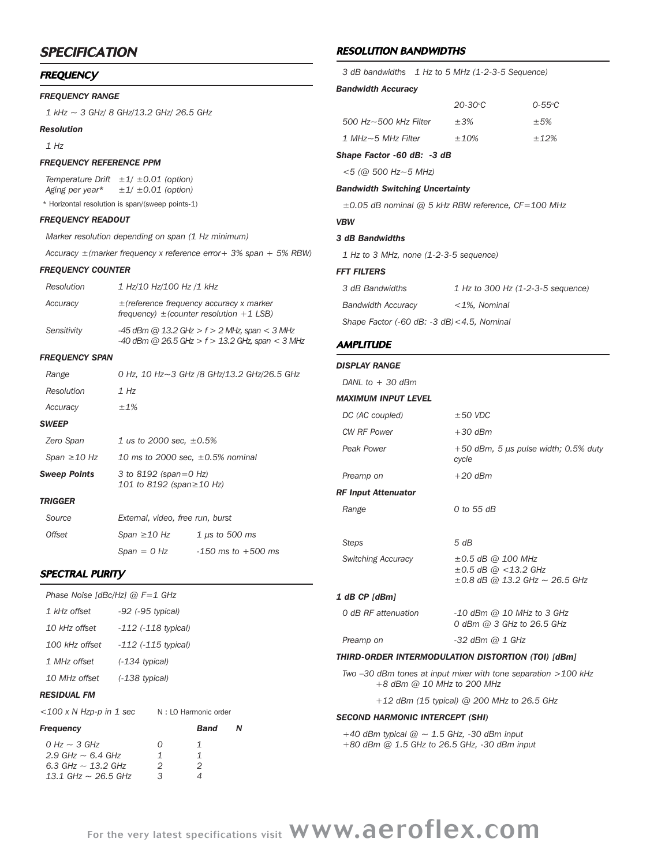# **SPECIFICATION**

### **FREQUENCY**

### *FREQUENCY RANGE*

*1 kHz ~ 3 GHz/ 8 GHz/13.2 GHz/ 26.5 GHz*

### *Resolution*

*1 Hz*

### *FREQUENCY REFERENCE PPM*

*Temperature Drift ±1/ ±0.01 (option) Aging per year\* ±1/ ±0.01 (option)*

\* Horizontal resolution is span/(sweep points-1)

### *FREQUENCY READOUT*

*Marker resolution depending on span (1 Hz minimum)*

*Accuracy ±(marker frequency x reference error+ 3% span + 5% RBW)*

### *FREQUENCY COUNTER*

| <b>Resolution</b> | 1 Hz/10 Hz/100 Hz /1 kHz                                                                              |
|-------------------|-------------------------------------------------------------------------------------------------------|
| Accuracy          | $\pm$ (reference frequency accuracy x marker<br>frequency) $\pm$ (counter resolution +1 LSB)          |
| Sensitivity       | $-45$ dBm @ 13.2 GHz > f > 2 MHz, span < 3 MHz<br>$-40$ dBm @ 26.5 GHz > $f > 13.2$ GHz, span < 3 MHz |

### *FREQUENCY SPAN*

| Range             |                                                   | 0 Hz, 10 Hz~3 GHz /8 GHz/13.2 GHz/26.5 GHz |  |
|-------------------|---------------------------------------------------|--------------------------------------------|--|
| Resolution        | 1 Hz                                              |                                            |  |
| Accuracy          | ±1%                                               |                                            |  |
| SWEEP             |                                                   |                                            |  |
| Zero Span         |                                                   | 1 us to 2000 sec. $\pm 0.5\%$              |  |
| Span $\geq$ 10 Hz | 10 ms to 2000 sec, $\pm 0.5\%$ nominal            |                                            |  |
| Sweep Points      | 3 to 8192 (span=0 Hz)<br>101 to 8192 (span≥10 Hz) |                                            |  |
| TRIGGER           |                                                   |                                            |  |
| Source            | External, video, free run, burst                  |                                            |  |
| <i>Offset</i>     | Span ≥10 Hz                                       | $1 \mu s$ to 500 ms                        |  |
|                   | $S$ nan = 0 Hz                                    | $-150$ ms to $+500$ ms                     |  |

### SPECTRAL PURITY

| Phase Noise [dBc/Hz] @ F=1 GHz                                                                       |                             |                             |  |
|------------------------------------------------------------------------------------------------------|-----------------------------|-----------------------------|--|
| 1 kHz offset<br>-92 (-95 typical)                                                                    |                             |                             |  |
| 10 kHz offset -112 (-118 typical)                                                                    |                             |                             |  |
| 100 kHz offset -112 (-115 typical)                                                                   |                             |                             |  |
| 1 MHz offset (-134 typical)                                                                          |                             |                             |  |
| 10 MHz offset (-138 typical)                                                                         |                             |                             |  |
| RESIDUAL FM                                                                                          |                             |                             |  |
| $<$ 100 x N Hzp-p in 1 sec                                                                           |                             | N: LO Harmonic order        |  |
| Frequency                                                                                            |                             | Band                        |  |
| $0$ Hz $\sim$ 3 GHz<br>2.9 GHz $\sim$ 6.4 GHz<br>6.3 GHz $\sim$ 13.2 GHz<br>13.1 GHz $\sim$ 26.5 GHz | 0<br>$\mathbf{1}$<br>2<br>3 | 1<br>$\mathbf{1}$<br>2<br>4 |  |

# RESOLUTION BANDWIDTHS

|                                                         |  | 3 dB bandwidths 1 Hz to 5 MHz (1-2-3-5 Sequence) |                   |
|---------------------------------------------------------|--|--------------------------------------------------|-------------------|
| <b>Bandwidth Accuracy</b>                               |  |                                                  |                   |
|                                                         |  | $20 - 30^{\circ}$ C                              | $0 - 55^{\circ}C$ |
| $500$ Hz $\sim$ 500 kHz Filter                          |  | $\pm 3\%$                                        | $\pm$ 5%          |
| $1$ MHz $\sim$ 5 MHz Filter                             |  | $+10%$                                           | $+12%$            |
| Shape Factor -60 dB: -3 dB                              |  |                                                  |                   |
| $<$ 5 (@ 500 Hz $\sim$ 5 MHz)                           |  |                                                  |                   |
| <b>Bandwidth Switching Uncertainty</b>                  |  |                                                  |                   |
| $\pm 0.05$ dB nominal @ 5 kHz RBW reference, CF=100 MHz |  |                                                  |                   |
| <b>VBW</b>                                              |  |                                                  |                   |
|                                                         |  |                                                  |                   |

## *3 dB Bandwidths*

*1 Hz to 3 MHz, none (1-2-3-5 sequence)*

### *FFT FILTERS*

| 3 dB Bandwidths                                                 | 1 Hz to 300 Hz (1-2-3-5 sequence) |  |  |
|-----------------------------------------------------------------|-----------------------------------|--|--|
| <b>Bandwidth Accuracy</b>                                       | $<$ 1%. Nominal                   |  |  |
| Shape Factor $(-60 \text{ dB} : -3 \text{ dB}) < 4.5$ , Nominal |                                   |  |  |

### **AMPLITUDE**

### *DISPLAY RANGE*

*DANL to + 30 dBm*

### *MAXIMUM INPUT LEVEL*

| DC (AC coupled)            | $\pm 50$ VDC                                                                             |
|----------------------------|------------------------------------------------------------------------------------------|
| <b>CW RF Power</b>         | $+30$ dBm                                                                                |
| Peak Power                 | $+50$ dBm, 5 $\mu s$ pulse width; 0.5% duty<br>cycle                                     |
| Preamp on                  | $+20$ dBm                                                                                |
| <b>RF Input Attenuator</b> |                                                                                          |
| Range                      | 0 to 55 dB                                                                               |
| Steps                      | 5 dB                                                                                     |
| <b>Switching Accuracy</b>  | $\pm 0.5$ dB @ 100 MHz<br>±0.5 dB @ <13.2 GHz<br>$\pm 0.8$ dB @ 13.2 GHz $\sim$ 26.5 GHz |
| 1 dB CP [dBm]              |                                                                                          |
| 0 dB RF attenuation        | $-10$ dBm $@$ 10 MHz to 3 GHz<br>0 dBm @ 3 GHz to 26.5 GHz                               |
| Preamp on                  | -32 dBm @ 1 GHz                                                                          |

### *THIRD-ORDER INTERMODULATION DISTORTION (TOI) [dBm]*

*Two –30 dBm tones at input mixer with tone separation >100 kHz +8 dBm @ 10 MHz to 200 MHz*

*+12 dBm (15 typical) @ 200 MHz to 26.5 GHz*

### *SECOND HARMONIC INTERCEPT (SHI)*

*+40 dBm typical @ ~ 1.5 GHz, -30 dBm input +80 dBm @ 1.5 GHz to 26.5 GHz, -30 dBm input*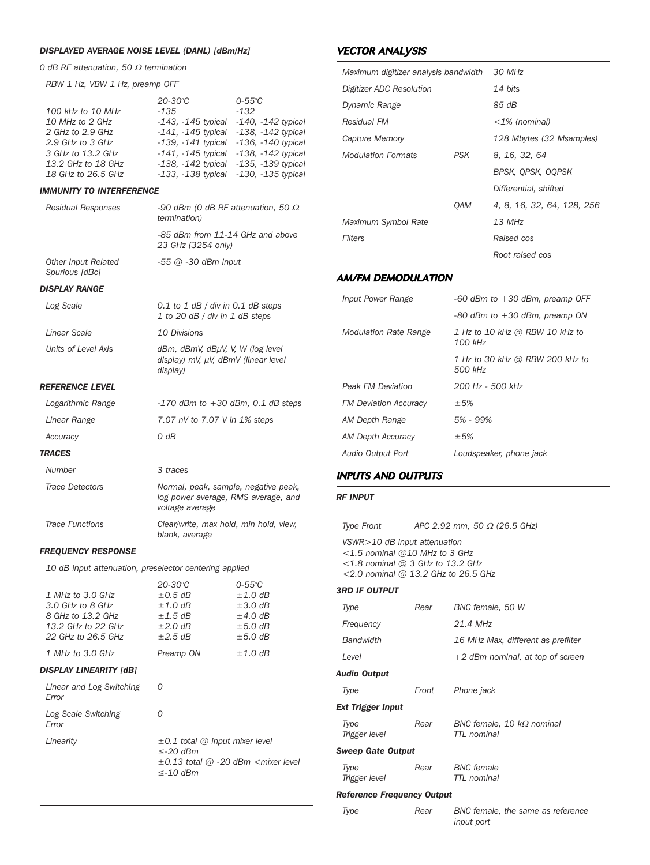### *DISPLAYED AVERAGE NOISE LEVEL (DANL) [dBm/Hz]*

*0 dB RF attenuation, 50* <sup>Ω</sup> *termination*

*RBW 1 Hz, VBW 1 Hz, preamp OFF*

|                    | $20 - 30^{\circ}C$      | $0-55^{\circ}C$         |
|--------------------|-------------------------|-------------------------|
| 100 kHz to 10 MHz  | $-135$                  | $-132$                  |
| 10 MHz to 2 GHz    | $-143. -145$ typical    | $-140$ , $-142$ typical |
| 2 GHz to 2.9 GHz   | $-141. -145$ typical    | $-138$ , $-142$ typical |
| 2.9 GHz to 3 GHz   | $-139. -141$ typical    | $-136$ , $-140$ typical |
| 3 GHz to 13.2 GHz  | $-141$ , $-145$ typical | $-138$ , $-142$ typical |
| 13.2 GHz to 18 GHz | $-138$ , $-142$ typical | $-135. -139$ typical    |
| 18 GHz to 26.5 GHz | $-133$ , $-138$ typical | $-130$ , $-135$ typical |
|                    |                         |                         |

### *IMMUNITY TO INTERFERENCE*

| Residual Responses                    | -90 dBm (0 dB RF attenuation, 50 $\Omega$<br><i>termination</i> )                        |
|---------------------------------------|------------------------------------------------------------------------------------------|
|                                       | -85 dBm from 11-14 GHz and above<br>23 GHz (3254 only)                                   |
| Other Input Related<br>Spurious [dBc] | $-55$ @ $-30$ dBm input                                                                  |
| DISPLAY RANGE                         |                                                                                          |
| Log Scale                             | $0.1$ to 1 dB / div in 0.1 dB steps<br>1 to 20 dB / div in 1 dB steps                    |
| Linear Scale                          | 10 Divisions                                                                             |
| Units of Level Axis                   | dBm, dBmV, dBµV, V, W (log level<br>display) mV, $\mu$ V, dBmV (linear level<br>display) |
| REFERENCE LEVEL                       |                                                                                          |
| Logarithmic Range                     | $-170$ dBm to $+30$ dBm, 0.1 dB steps                                                    |

| Linear Range           | 7.07 nV to 7.07 V in 1% steps                                                                  |
|------------------------|------------------------------------------------------------------------------------------------|
| Accuracy               | 0 dB                                                                                           |
| <b>TRACES</b>          |                                                                                                |
| Number                 | 3 traces                                                                                       |
| <b>Trace Detectors</b> | Normal, peak, sample, negative peak,<br>log power average, RMS average, and<br>voltage average |
| <b>Trace Functions</b> | Clear/write, max hold, min hold, view,<br>blank, average                                       |

### *FREQUENCY RESPONSE*

*10 dB input attenuation, preselector centering applied*

|                                   | 20-30°C                                                                 | $0 - 55^{\circ}C$                                          |
|-----------------------------------|-------------------------------------------------------------------------|------------------------------------------------------------|
| 1 MHz to 3.0 GHz                  | $\pm 0.5$ dB                                                            | $\pm 1.0$ dB                                               |
| 3.0 GHz to 8 GHz                  | $\pm 1.0$ dB                                                            | $\pm 3.0$ dB                                               |
| 8 GHz to 13.2 GHz                 | $\pm$ 1.5 dB                                                            | $\pm$ 4.0 dB                                               |
| 13.2 GHz to 22 GHz                | $\pm 2.0$ dB                                                            | $\pm 5.0$ dB                                               |
| 22 GHz to 26.5 GHz                | $\pm 2.5$ dB                                                            | $\pm 5.0$ dB                                               |
| 1 MHz to 3.0 GHz                  | Preamp ON                                                               | $\pm 1.0$ dB                                               |
| DISPLAY LINEARITY [dB]            |                                                                         |                                                            |
| Linear and Log Switching<br>Error | 0                                                                       |                                                            |
| Log Scale Switching<br>Error      | ∩                                                                       |                                                            |
| Linearity                         | $\pm 0.1$ total @ input mixer level<br>$\leq$ -20 dBm<br>$\leq$ -10 dBm | $\pm 0.13$ total @ -20 dBm <mixer level<="" th=""></mixer> |
|                                   |                                                                         |                                                            |

### VECTOR ANALYSIS

| Maximum digitizer analysis bandwidth |                   | 30 MHz                     |
|--------------------------------------|-------------------|----------------------------|
| Digitizer ADC Resolution             |                   | 14 bits                    |
| Dynamic Range                        |                   | 85 dB                      |
| Residual FM                          |                   | $<$ 1% (nominal)           |
| Capture Memory                       |                   | 128 Mbytes (32 Msamples)   |
| <b>Modulation Formats</b>            | PSK               | 8, 16, 32, 64              |
|                                      |                   | BPSK, OPSK, OOPSK          |
|                                      |                   | Differential, shifted      |
|                                      | <i><b>OAM</b></i> | 4, 8, 16, 32, 64, 128, 256 |
| Maximum Symbol Rate                  |                   | 13 MHz                     |
| <b>Filters</b>                       |                   | Raised cos                 |
|                                      |                   | Root raised cos            |

### AM/FM DEMODULATION

| Input Power Range            | -60 dBm to $+30$ dBm, preamp OFF            |
|------------------------------|---------------------------------------------|
|                              | $-80$ dBm to $+30$ dBm, preamp ON           |
| <b>Modulation Rate Range</b> | 1 Hz to 10 kHz @ RBW 10 kHz to<br>$100$ kHz |
|                              | 1 Hz to 30 kHz @ RBW 200 kHz to<br>500 kHz  |
| <b>Peak FM Deviation</b>     | 200 Hz - 500 kHz                            |
| <b>FM Deviation Accuracy</b> | $\pm$ 5%                                    |
| AM Depth Range               | 5% - 99%                                    |
| AM Depth Accuracy            | $\pm$ 5%                                    |
| Audio Output Port            | Loudspeaker, phone jack                     |

### INPUTS AND OUTPUTS

### *RF INPUT*

*Type Front APC 2.92 mm, 50* <sup>Ω</sup> *(26.5 GHz)*

*VSWR>10 dB input attenuation <1.5 nominal @10 MHz to 3 GHz <1.8 nominal @ 3 GHz to 13.2 GHz <2.0 nominal @ 13.2 GHz to 26.5 GHz*

### *3RD IF OUTPUT*

| Type                     | Rear  | BNC female, 50 W                                |
|--------------------------|-------|-------------------------------------------------|
| Frequency                |       | 21.4 MHz                                        |
| <b>Bandwidth</b>         |       | 16 MHz Max, different as prefilter              |
| Level                    |       | $+2$ dBm nominal, at top of screen              |
| Audio Output             |       |                                                 |
| Type                     | Front | Phone jack                                      |
| Ext Trigger Input        |       |                                                 |
| Type<br>Trigger level    | Rear  | BNC female, 10 $k\Omega$ nominal<br>TTL nominal |
| <b>Sweep Gate Output</b> |       |                                                 |
| Type<br>Trigger level    | Rear  | <b>BNC</b> female<br>TTL nominal                |
|                          |       |                                                 |

### *Reference Frequency Output*

| Type | Rear | BNC female, the same as reference |  |
|------|------|-----------------------------------|--|
|      |      | input port                        |  |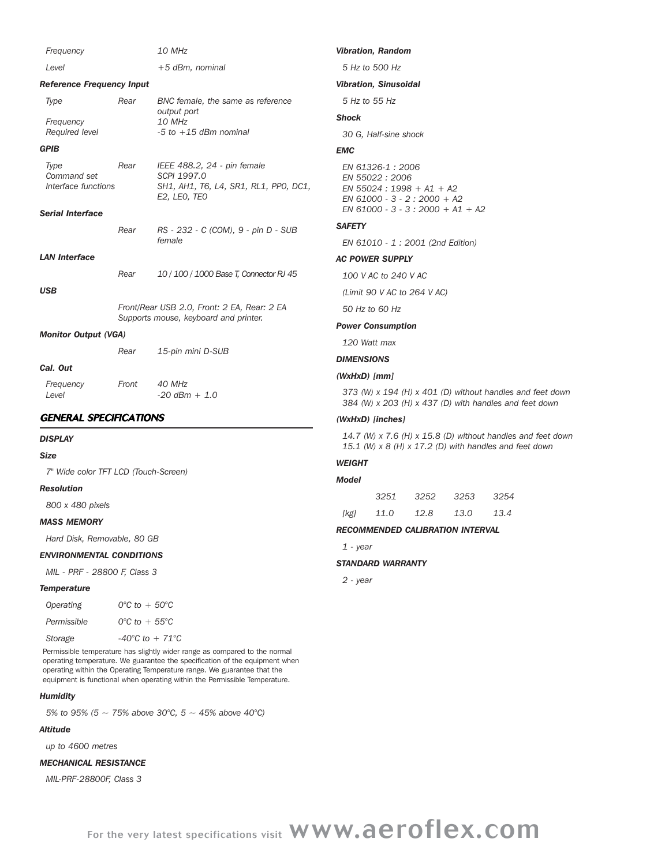| Frequency                                                             |       | 10 MHz                                                                                              | <b>Vibratio</b>                                                              |
|-----------------------------------------------------------------------|-------|-----------------------------------------------------------------------------------------------------|------------------------------------------------------------------------------|
| Level                                                                 |       | $+5$ dBm, nominal                                                                                   | 5 Hz to                                                                      |
| <b>Reference Frequency Input</b>                                      |       |                                                                                                     | <b>Vibratio</b>                                                              |
| Type                                                                  | Rear  | BNC female, the same as reference                                                                   | 5 Hz                                                                         |
| Frequency                                                             |       | output port<br>10 MHz                                                                               | Shock                                                                        |
| Required level                                                        |       | $-5$ to $+15$ dBm nominal                                                                           | 30 G.                                                                        |
| <b>GPIB</b>                                                           |       |                                                                                                     | <b>EMC</b>                                                                   |
| Type<br>Command set<br>Interface functions<br><b>Serial Interface</b> | Rear  | IEEE 488.2, 24 - pin female<br>SCPI 1997.0<br>SH1, AH1, T6, L4, SR1, RL1, PP0, DC1,<br>E2, LEO, TEO | <b>EN 61</b><br><b>EN 55</b><br><b>EN 55</b><br><b>EN 61</b><br><b>EN 61</b> |
|                                                                       | Rear  | RS - 232 - C (COM), 9 - pin D - SUB                                                                 | <b>SAFETY</b>                                                                |
|                                                                       |       | female                                                                                              | <b>EN 61</b>                                                                 |
| <b>LAN Interface</b>                                                  |       |                                                                                                     | <b>AC POW</b>                                                                |
|                                                                       | Rear  | 10 / 100 / 1000 Base T, Connector RJ 45                                                             | 100 V                                                                        |
| <b>USB</b>                                                            |       |                                                                                                     | (Limit                                                                       |
|                                                                       |       | Front/Rear USB 2.0, Front: 2 EA, Rear: 2 EA                                                         | 50 Hz                                                                        |
|                                                                       |       | Supports mouse, keyboard and printer.                                                               | Power (                                                                      |
| <b>Monitor Output (VGA)</b>                                           |       |                                                                                                     | 120 W                                                                        |
|                                                                       | Rear  | 15-pin mini D-SUB                                                                                   | <b>DIMENS</b>                                                                |
| Cal. Out                                                              |       |                                                                                                     | (WxHxD                                                                       |
| Frequency<br>Level                                                    | Front | 40 MHz<br>$-20$ dBm + 1.0                                                                           | 373(<br>384 (V                                                               |
| <b>GENERAL SPECIFICATIONS</b>                                         |       |                                                                                                     | (WxHxD                                                                       |
| <b>DISPLAY</b>                                                        |       |                                                                                                     | 14.7 <sub>0</sub><br>15.1 (                                                  |

### *Size*

*7" Wide color TFT LCD (Touch-Screen)*

### *Resolution*

*800 x 480 pixels*

### *MASS MEMORY*

*Hard Disk, Removable, 80 GB*

### *ENVIRONMENTAL CONDITIONS*

*MIL - PRF - 28800 F, Class 3*

### *Temperature*

| Operating   | $0^{\circ}$ C to $+50^{\circ}$ C    |
|-------------|-------------------------------------|
| Permissible | $0^{\circ}$ C to + 55 $^{\circ}$ C  |
| Storage     | $-40^{\circ}$ C to $+ 71^{\circ}$ C |

Permissible temperature has slightly wider range as compared to the normal operating temperature. We guarantee the specification of the equipment when operating within the Operating Temperature range. We guarantee that the equipment is functional when operating within the Permissible Temperature.

### *Humidity*

*5% to 95% (5 ~ 75% above 30°C, 5 ~ 45% above 40°C)*

### *Altitude*

*up to 4600 metres*

### *MECHANICAL RESISTANCE*

*MIL-PRF-28800F, Class 3*

### *Vibration, Random*

*5 Hz to 500 Hz*

### *Vibration, Sinusoidal*

*5 Hz to 55 Hz*

*30 G, Half-sine shock*

*EN 61326-1 : 2006 EN 55022 : 2006 EN 55024 : 1998 + A1 + A2 EN 61000 - 3 - 2 : 2000 + A2 EN 61000 - 3 - 3 : 2000 + A1 + A2*

*EN 61010 - 1 : 2001 (2nd Edition)*

### **VER SUPPLY**

*100 V AC to 240 V AC*

*(Limit 90 V AC to 264 V AC)*

*50 Hz to 60 Hz*

### *Power Consumption*

*120 Watt max*

*DIMENSIONS*

### *(WxHxD) [mm]*

*373 (W) x 194 (H) x 401 (D) without handles and feet down 384 (W) x 203 (H) x 437 (D) with handles and feet down*

### *(WxHxD) [inches]*

*14.7 (W) x 7.6 (H) x 15.8 (D) without handles and feet down 15.1 (W) x 8 (H) x 17.2 (D) with handles and feet down*

### *WEIGHT*

| Model |                |                     |      |
|-------|----------------|---------------------|------|
|       |                | 3251 3252 3253 3254 |      |
| [kg]  | 11.0 12.8 13.0 |                     | 13.4 |

### *RECOMMENDED CALIBRATION INTERVAL*

*1 - year*

### *STANDARD WARRANTY*

*2 - year*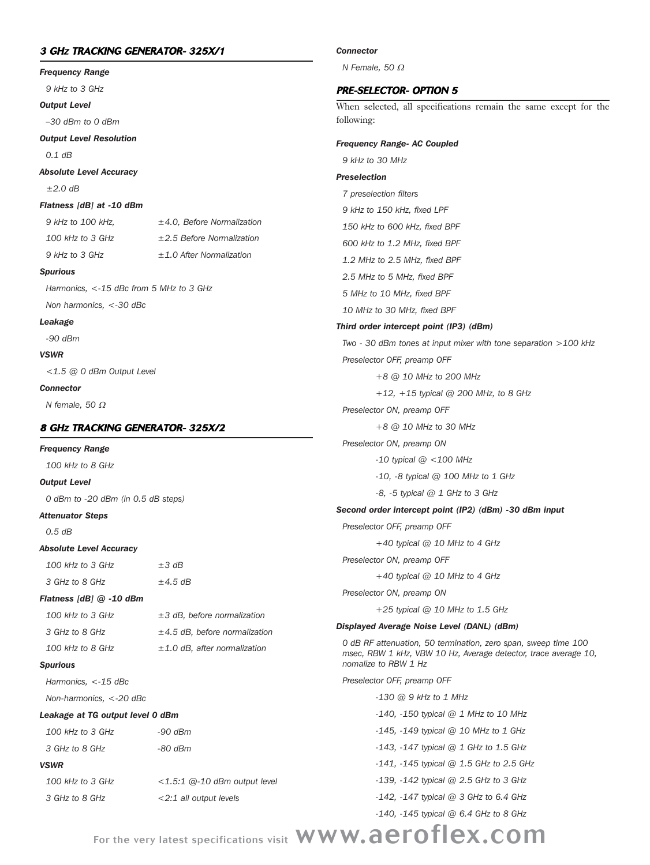## 3 GHZ TRACKING GENERATOR- 325X/1

# *Frequency Range 9 kHz to 3 GHz Output Level*

*–30 dBm to 0 dBm*

*Output Level Resolution*

*0.1 dB* 

*Absolute Level Accuracy*

*±2.0 dB*

### *Flatness [dB] at -10 dBm*

*9 kHz to 100 kHz, ±4.0, Before Normalization*

*100 kHz to 3 GHz ±2.5 Before Normalization 9 kHz to 3 GHz ±1.0 After Normalization*

### *Spurious*

*Harmonics, <-15 dBc from 5 MHz to 3 GHz Non harmonics, <-30 dBc*

### *Leakage*

*-90 dBm*

### *VSWR*

*<1.5 @ 0 dBm Output Level*

### *Connector*

*N female, 50* <sup>Ω</sup>

## 8 GHZ TRACKING GENERATOR- 325X/2

### *Frequency Range*

*100 kHz to 8 GHz*

### *Output Level*

*0 dBm to -20 dBm (in 0.5 dB steps)*

### *Attenuator Steps*

*0.5 dB*

### *Absolute Level Accuracy*

*100 kHz to 3 GHz ±3 dB 3 GHz to 8 GHz ±4.5 dB*

### *Flatness [dB] @ -10 dBm*

| 100 kHz to 3 GHz | $\pm$ 3 dB, before normalization   |
|------------------|------------------------------------|
| 3 GHz to 8 GHz   | $\pm$ 4.5 dB, before normalization |
| 100 kHz to 8 GHz | $\pm$ 1.0 dB, after normalization  |

### *Spurious*

*Harmonics, <-15 dBc*

*Non-harmonics, <-20 dBc*

### *Leakage at TG output level 0 dBm*

| $100$ kHz to 3 GHz | $-90$ dBm                       | $-145$ , $-149$ typical @ 10 MHz to 1 GHz    |
|--------------------|---------------------------------|----------------------------------------------|
| 3 GHz to 8 GHz     | -80 dBm                         | $-143$ , $-147$ typical @ 1 GHz to 1.5 GHz   |
| <b>VSWR</b>        |                                 | $-141$ , $-145$ typical @ 1.5 GHz to 2.5 GHz |
| $100$ kHz to 3 GHz | $<$ 1.5:1 @-10 dBm output level | $-139$ , $-142$ typical @ 2.5 GHz to 3 GHz   |
| 3 GHz to 8 GHz     | $<$ 2:1 all output levels       | $-142$ , $-147$ typical @ 3 GHz to 6.4 GHz   |
|                    |                                 | $-140$ , $-145$ typical @ 6.4 GHz to 8 GHz   |

*Connector*

*N Female, 50* <sup>Ω</sup>

### PRE-SELECTOR- OPTION 5

When selected, all specifications remain the same except for the following:

### *Frequency Range- AC Coupled*

*9 kHz to 30 MHz*

# *Preselection*

*7 preselection filters 9 kHz to 150 kHz, fixed LPF 150 kHz to 600 kHz, fixed BPF 600 kHz to 1.2 MHz, fixed BPF 1.2 MHz to 2.5 MHz, fixed BPF 2.5 MHz to 5 MHz, fixed BPF 5 MHz to 10 MHz, fixed BPF 10 MHz to 30 MHz, fixed BPF Third order intercept point (IP3) (dBm) Two - 30 dBm tones at input mixer with tone separation >100 kHz Preselector OFF, preamp OFF +8 @ 10 MHz to 200 MHz +12, +15 typical @ 200 MHz, to 8 GHz Preselector ON, preamp OFF +8 @ 10 MHz to 30 MHz Preselector ON, preamp ON -10 typical @ <100 MHz -10, -8 typical @ 100 MHz to 1 GHz -8, -5 typical @ 1 GHz to 3 GHz Second order intercept point (IP2) (dBm) -30 dBm input Preselector OFF, preamp OFF +40 typical @ 10 MHz to 4 GHz Preselector ON, preamp OFF +40 typical @ 10 MHz to 4 GHz Preselector ON, preamp ON +25 typical @ 10 MHz to 1.5 GHz Displayed Average Noise Level (DANL) (dBm) 0 dB RF attenuation, 50 termination, zero span, sweep time 100 msec, RBW 1 kHz, VBW 10 Hz, Average detector, trace average 10, nomalize to RBW 1 Hz Preselector OFF, preamp OFF -130 @ 9 kHz to 1 MHz -140, -150 typical @ 1 MHz to 10 MHz*

For the very latest specifications visit WWW.aeroflex.com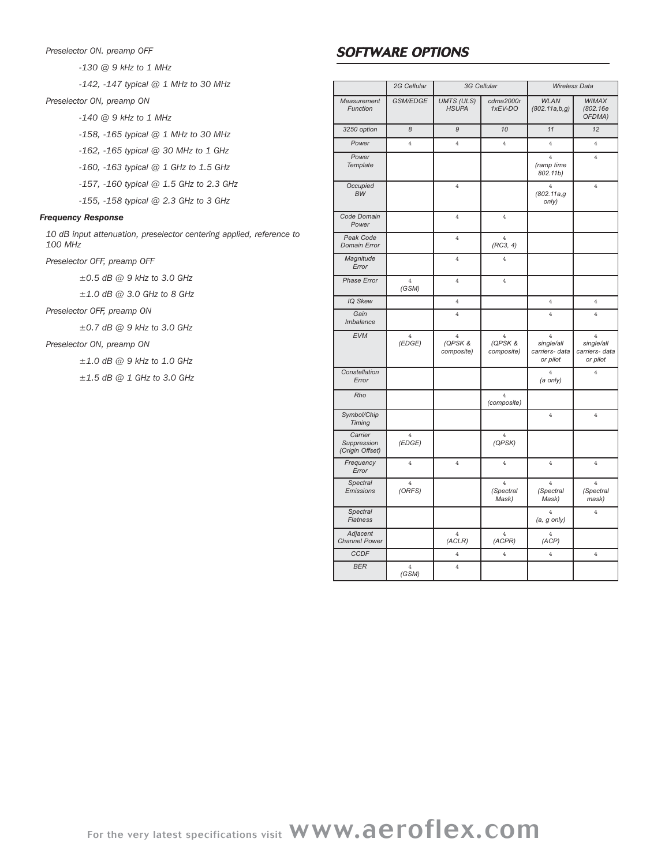### *Preselector ON. preamp OFF*

*-130 @ 9 kHz to 1 MHz*

*-142, -147 typical @ 1 MHz to 30 MHz*

*Preselector ON, preamp ON*

*-140 @ 9 kHz to 1 MHz*

*-158, -165 typical @ 1 MHz to 30 MHz*

*-162, -165 typical @ 30 MHz to 1 GHz*

*-160, -163 typical @ 1 GHz to 1.5 GHz*

*-157, -160 typical @ 1.5 GHz to 2.3 GHz*

*-155, -158 typical @ 2.3 GHz to 3 GHz*

### *Frequency Response*

*10 dB input attenuation, preselector centering applied, reference to 100 MHz*

*Preselector OFF, preamp OFF*

*±0.5 dB @ 9 kHz to 3.0 GHz*

*±1.0 dB @ 3.0 GHz to 8 GHz*

*Preselector OFF, preamp ON*

*±0.7 dB @ 9 kHz to 3.0 GHz*

*Preselector ON, preamp ON*

*±1.0 dB @ 9 kHz to 1.0 GHz*

*±1.5 dB @ 1 GHz to 3.0 GHz*

# SOFTWARE OPTIONS

|                                           | 2G Cellular              |                                         | 3G Cellular                             |                                                            | <b>Wireless Data</b>                                       |
|-------------------------------------------|--------------------------|-----------------------------------------|-----------------------------------------|------------------------------------------------------------|------------------------------------------------------------|
| Measurement<br>Function                   | GSM/EDGE                 | <b>UMTS (ULS)</b><br><b>HSUPA</b>       | cdma2000r<br>1xEV-DO                    | <b>WLAN</b><br>(802.11a,b,g)                               | WIMAX<br>(802.16e)<br>OFDMA)                               |
| 3250 option                               | 8                        | 9                                       | 10                                      | 11                                                         | 12                                                         |
| Power                                     | $\overline{4}$           | $\overline{4}$                          | $\overline{4}$                          | $\overline{4}$                                             | $\overline{4}$                                             |
| Power<br>Template                         |                          |                                         |                                         | $\overline{4}$<br>(ramp time<br>802.11b)                   | $\overline{4}$                                             |
| Occupied<br><b>BW</b>                     |                          | $\overline{4}$                          |                                         | $\overline{4}$<br>(802.11a,g<br>only)                      | $\overline{4}$                                             |
| Code Domain<br>Power                      |                          | $\overline{4}$                          | $\overline{4}$                          |                                                            |                                                            |
| Peak Code<br>Domain Error                 |                          | $\overline{4}$                          | $\overline{4}$<br>(RC3, 4)              |                                                            |                                                            |
| Magnitude<br>Error                        |                          | $\overline{4}$                          | $\overline{4}$                          |                                                            |                                                            |
| Phase Error                               | 4<br>(GSM)               | $\overline{4}$                          | $\overline{4}$                          |                                                            |                                                            |
| IQ Skew                                   |                          | $\overline{4}$                          |                                         | 4                                                          | $\overline{4}$                                             |
| Gain<br>Imbalance                         |                          | $\overline{4}$                          |                                         | $\overline{4}$                                             | $\overline{4}$                                             |
| <b>EVM</b>                                | $\overline{4}$<br>(EDGE) | $\overline{4}$<br>(QPSK &<br>composite) | $\overline{4}$<br>(QPSK &<br>composite) | $\overline{4}$<br>single/all<br>carriers- data<br>or pilot | $\overline{4}$<br>single/all<br>carriers- data<br>or pilot |
| Constellation<br>Error                    |                          |                                         |                                         | $\overline{4}$<br>(a only)                                 | $\overline{4}$                                             |
| Rho                                       |                          |                                         | $\overline{4}$<br>(composite)           |                                                            |                                                            |
| Symbol/Chip<br><b>Timing</b>              |                          |                                         |                                         | 4                                                          | $\overline{4}$                                             |
| Carrier<br>Suppression<br>(Origin Offset) | $\overline{4}$<br>(EDGE) |                                         | $\overline{4}$<br>(QPSK)                |                                                            |                                                            |
| Frequency<br>Error                        | $\overline{4}$           | $\overline{4}$                          | $\overline{4}$                          | $\overline{4}$                                             | $\overline{4}$                                             |
| <b>Spectral</b><br>Emissions              | $\overline{4}$<br>(ORFS) |                                         | $\overline{4}$<br>(Spectral<br>Mask)    | $\overline{4}$<br>(Spectral<br>Mask)                       | $\overline{4}$<br>(Spectral<br>mask)                       |
| Spectral<br><b>Flatness</b>               |                          |                                         |                                         | $\overline{4}$<br>$(a, g \text{ only})$                    | $\overline{4}$                                             |
| Adjacent<br><b>Channel Power</b>          |                          | $\overline{4}$<br>(ACLR)                | $\overline{4}$<br>(ACPR)                | $\overline{4}$<br>(ACP)                                    |                                                            |
| <b>CCDF</b>                               |                          | $\overline{4}$                          | $\overline{4}$                          | $\overline{4}$                                             | $\overline{4}$                                             |
| <b>BER</b>                                | $\overline{4}$<br>(GSM)  | $\overline{4}$                          |                                         |                                                            |                                                            |